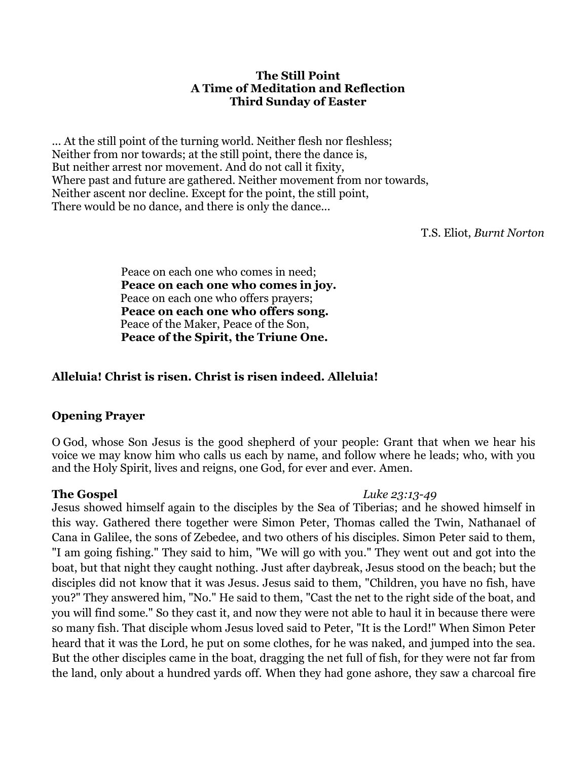#### **The Still Point A Time of Meditation and Reflection Third Sunday of Easter**

... At the still point of the turning world. Neither flesh nor fleshless; Neither from nor towards; at the still point, there the dance is, But neither arrest nor movement. And do not call it fixity, Where past and future are gathered. Neither movement from nor towards, Neither ascent nor decline. Except for the point, the still point, There would be no dance, and there is only the dance...

T.S. Eliot, *Burnt Norton*

Peace on each one who comes in need; **Peace on each one who comes in joy.**  Peace on each one who offers prayers; **Peace on each one who offers song.** Peace of the Maker, Peace of the Son, **Peace of the Spirit, the Triune One.** 

## **Alleluia! Christ is risen. Christ is risen indeed. Alleluia!**

### **Opening Prayer**

O God, whose Son Jesus is the good shepherd of your people: Grant that when we hear his voice we may know him who calls us each by name, and follow where he leads; who, with you and the Holy Spirit, lives and reigns, one God, for ever and ever. Amen.

### **The Gospel** *Luke 23:13-49*

Jesus showed himself again to the disciples by the Sea of Tiberias; and he showed himself in this way. Gathered there together were Simon Peter, Thomas called the Twin, Nathanael of Cana in Galilee, the sons of Zebedee, and two others of his disciples. Simon Peter said to them, "I am going fishing." They said to him, "We will go with you." They went out and got into the boat, but that night they caught nothing. Just after daybreak, Jesus stood on the beach; but the disciples did not know that it was Jesus. Jesus said to them, "Children, you have no fish, have you?" They answered him, "No." He said to them, "Cast the net to the right side of the boat, and you will find some." So they cast it, and now they were not able to haul it in because there were so many fish. That disciple whom Jesus loved said to Peter, "It is the Lord!" When Simon Peter heard that it was the Lord, he put on some clothes, for he was naked, and jumped into the sea. But the other disciples came in the boat, dragging the net full of fish, for they were not far from the land, only about a hundred yards off. When they had gone ashore, they saw a charcoal fire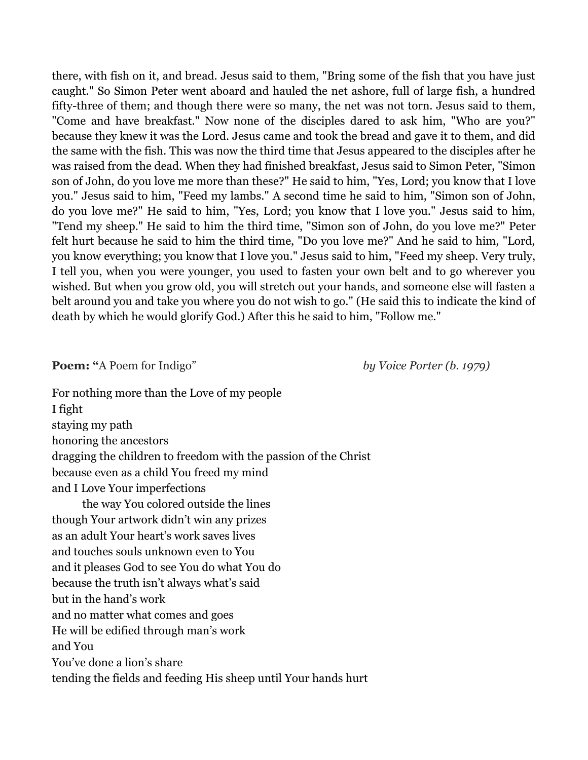there, with fish on it, and bread. Jesus said to them, "Bring some of the fish that you have just caught." So Simon Peter went aboard and hauled the net ashore, full of large fish, a hundred fifty-three of them; and though there were so many, the net was not torn. Jesus said to them, "Come and have breakfast." Now none of the disciples dared to ask him, "Who are you?" because they knew it was the Lord. Jesus came and took the bread and gave it to them, and did the same with the fish. This was now the third time that Jesus appeared to the disciples after he was raised from the dead. When they had finished breakfast, Jesus said to Simon Peter, "Simon son of John, do you love me more than these?" He said to him, "Yes, Lord; you know that I love you." Jesus said to him, "Feed my lambs." A second time he said to him, "Simon son of John, do you love me?" He said to him, "Yes, Lord; you know that I love you." Jesus said to him, "Tend my sheep." He said to him the third time, "Simon son of John, do you love me?" Peter felt hurt because he said to him the third time, "Do you love me?" And he said to him, "Lord, you know everything; you know that I love you." Jesus said to him, "Feed my sheep. Very truly, I tell you, when you were younger, you used to fasten your own belt and to go wherever you wished. But when you grow old, you will stretch out your hands, and someone else will fasten a belt around you and take you where you do not wish to go." (He said this to indicate the kind of death by which he would glorify God.) After this he said to him, "Follow me."

**Poem:** "A Poem for Indigo" *by Voice Porter (b. 1979)* 

For nothing more than the Love of my people I fight staying my path honoring the ancestors dragging the children to freedom with the passion of the Christ because even as a child You freed my mind and I Love Your imperfections the way You colored outside the lines though Your artwork didn't win any prizes as an adult Your heart's work saves lives and touches souls unknown even to You

and it pleases God to see You do what You do because the truth isn't always what's said

but in the hand's work

and no matter what comes and goes

He will be edified through man's work

and You

You've done a lion's share

tending the fields and feeding His sheep until Your hands hurt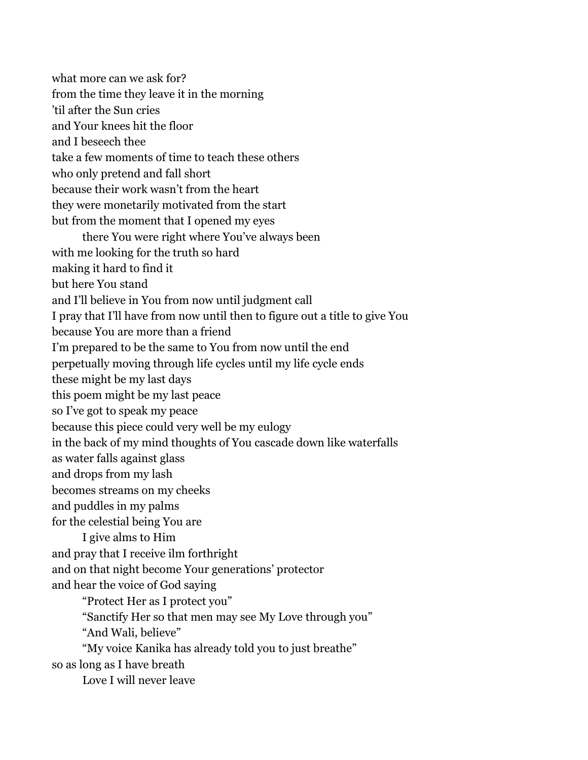what more can we ask for? from the time they leave it in the morning 'til after the Sun cries and Your knees hit the floor and I beseech thee take a few moments of time to teach these others who only pretend and fall short because their work wasn't from the heart they were monetarily motivated from the start but from the moment that I opened my eyes there You were right where You've always been with me looking for the truth so hard making it hard to find it but here You stand and I'll believe in You from now until judgment call I pray that I'll have from now until then to figure out a title to give You because You are more than a friend I'm prepared to be the same to You from now until the end perpetually moving through life cycles until my life cycle ends these might be my last days this poem might be my last peace so I've got to speak my peace because this piece could very well be my eulogy in the back of my mind thoughts of You cascade down like waterfalls as water falls against glass and drops from my lash becomes streams on my cheeks and puddles in my palms for the celestial being You are I give alms to Him and pray that I receive ilm forthright and on that night become Your generations' protector and hear the voice of God saying "Protect Her as I protect you" "Sanctify Her so that men may see My Love through you" "And Wali, believe" "My voice Kanika has already told you to just breathe" so as long as I have breath

Love I will never leave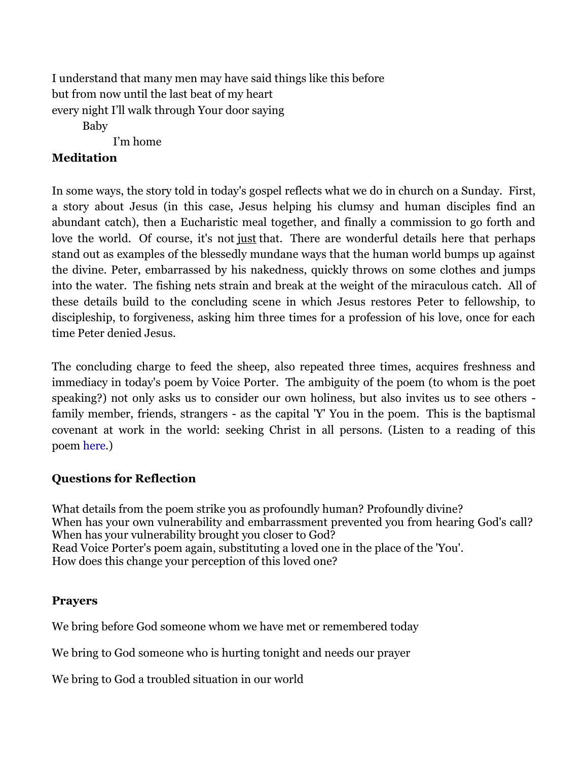I understand that many men may have said things like this before but from now until the last beat of my heart every night I'll walk through Your door saying Baby I'm home

## **Meditation**

In some ways, the story told in today's gospel reflects what we do in church on a Sunday. First, a story about Jesus (in this case, Jesus helping his clumsy and human disciples find an abundant catch), then a Eucharistic meal together, and finally a commission to go forth and love the world. Of course, it's not just that. There are wonderful details here that perhaps stand out as examples of the blessedly mundane ways that the human world bumps up against the divine. Peter, embarrassed by his nakedness, quickly throws on some clothes and jumps into the water. The fishing nets strain and break at the weight of the miraculous catch. All of these details build to the concluding scene in which Jesus restores Peter to fellowship, to discipleship, to forgiveness, asking him three times for a profession of his love, once for each time Peter denied Jesus.

The concluding charge to feed the sheep, also repeated three times, acquires freshness and immediacy in today's poem by Voice Porter. The ambiguity of the poem (to whom is the poet speaking?) not only asks us to consider our own holiness, but also invites us to see others family member, friends, strangers - as the capital 'Y' You in the poem. This is the baptismal covenant at work in the world: seeking Christ in all persons. (Listen to a reading of this poem [here.](https://www.youtube.com/watch?v=jXdVlr2Vu4U))

# **Questions for Reflection**

What details from the poem strike you as profoundly human? Profoundly divine? When has your own vulnerability and embarrassment prevented you from hearing God's call? When has your vulnerability brought you closer to God? Read Voice Porter's poem again, substituting a loved one in the place of the 'You'. How does this change your perception of this loved one?

### **Prayers**

We bring before God someone whom we have met or remembered today

We bring to God someone who is hurting tonight and needs our prayer

We bring to God a troubled situation in our world